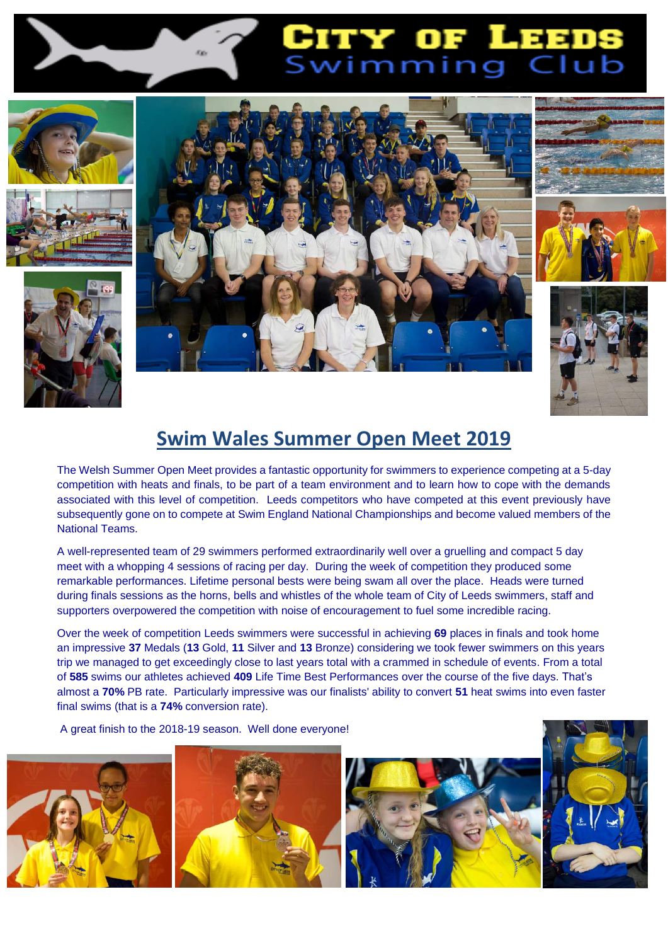

# CITY OF LEEDS<br>Swimming Club















## **Swim Wales Summer Open Meet 2019**

The Welsh Summer Open Meet provides a fantastic opportunity for swimmers to experience competing at a 5-day competition with heats and finals, to be part of a team environment and to learn how to cope with the demands associated with this level of competition. Leeds competitors who have competed at this event previously have subsequently gone on to compete at Swim England National Championships and become valued members of the National Teams.

A well-represented team of 29 swimmers performed extraordinarily well over a gruelling and compact 5 day meet with a whopping 4 sessions of racing per day. During the week of competition they produced some remarkable performances. Lifetime personal bests were being swam all over the place. Heads were turned during finals sessions as the horns, bells and whistles of the whole team of City of Leeds swimmers, staff and supporters overpowered the competition with noise of encouragement to fuel some incredible racing.

Over the week of competition Leeds swimmers were successful in achieving **69** places in finals and took home an impressive **37** Medals (**13** Gold, **11** Silver and **13** Bronze) considering we took fewer swimmers on this years trip we managed to get exceedingly close to last years total with a crammed in schedule of events. From a total of **585** swims our athletes achieved **409** Life Time Best Performances over the course of the five days. That's almost a **70%** PB rate. Particularly impressive was our finalists' ability to convert **51** heat swims into even faster final swims (that is a **74%** conversion rate).

### A great finish to the 2018-19 season. Well done everyone!